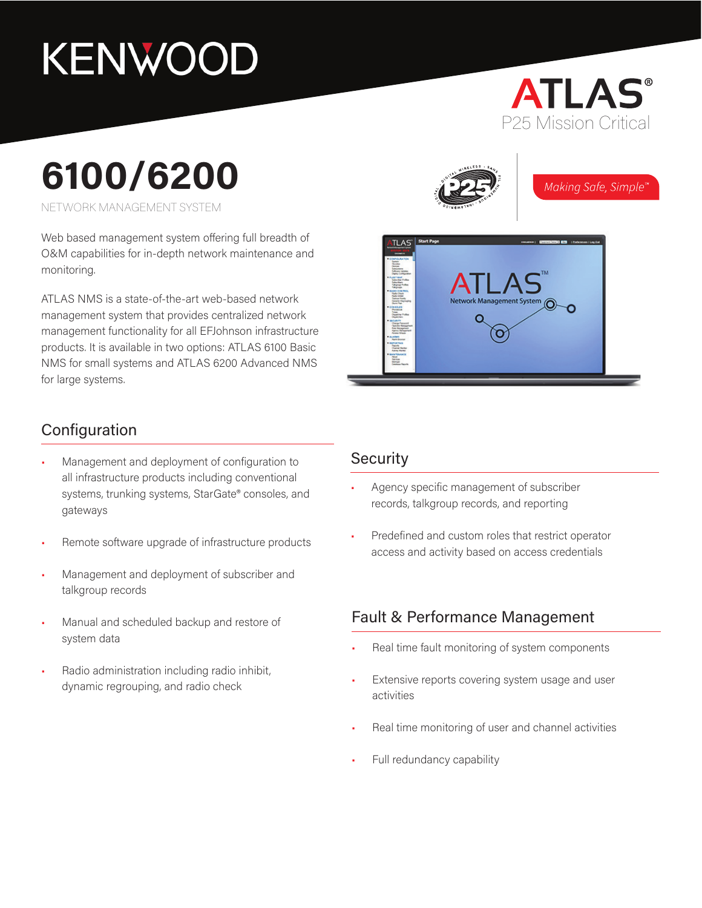# KENWOOD

## **ATLAS®** P25 Mission Critical

# **6100/6200**

NETWORK MANAGEMENT SYSTEM

Web based management system offering full breadth of O&M capabilities for in-depth network maintenance and monitoring.

ATLAS NMS is a state-of-the-art web-based network management system that provides centralized network management functionality for all EFJohnson infrastructure products. It is available in two options: ATLAS 6100 Basic NMS for small systems and ATLAS 6200 Advanced NMS for large systems.

#### Configuration

- Management and deployment of configuration to all infrastructure products including conventional systems, trunking systems, StarGate® consoles, and gateways
- Remote software upgrade of infrastructure products
- Management and deployment of subscriber and talkgroup records
- Manual and scheduled backup and restore of system data
- Radio administration including radio inhibit, dynamic regrouping, and radio check

#### **Security**

- Agency specific management of subscriber records, talkgroup records, and reporting
- Predefined and custom roles that restrict operator access and activity based on access credentials

#### Fault & Performance Management

- Real time fault monitoring of system components
- Extensive reports covering system usage and user activities
- Real time monitoring of user and channel activities
- Full redundancy capability



Making Safe, Simple<sup>r</sup>